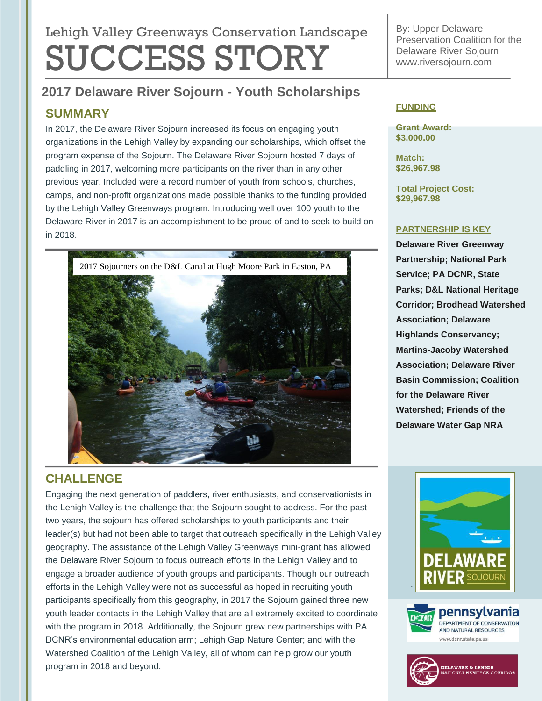# Lehigh Valley Greenways Conservation Landscape SUCCESS STORY

# **2017 Delaware River Sojourn - Youth Scholarships**

## **SUMMARY**

In 2017, the Delaware River Sojourn increased its focus on engaging youth organizations in the Lehigh Valley by expanding our scholarships, which offset the program expense of the Sojourn. The Delaware River Sojourn hosted 7 days of paddling in 2017, welcoming more participants on the river than in any other previous year. Included were a record number of youth from schools, churches, camps, and non-profit organizations made possible thanks to the funding provided by the Lehigh Valley Greenways program. Introducing well over 100 youth to the Delaware River in 2017 is an accomplishment to be proud of and to seek to build on in 2018.



By: Upper Delaware Preservation Coalition for the Delaware River Sojour[n](http://www.riversojourn.com/) [www.riversojourn.com](http://www.riversojourn.com/)

#### **FUNDING**

**Grant Award: \$3,000.00**

**Match: \$26,967.98**

**Total Project Cost: \$29,967.98**

#### **PARTNERSHIP IS KEY**

**Delaware River Greenway Partnership; National Park Service; PA DCNR, State Parks; D&L National Heritage Corridor; Brodhead Watershed Association; Delaware Highlands Conservancy; Martins-Jacoby Watershed Association; Delaware River Basin Commission; Coalition for the Delaware River Watershed; Friends of the Delaware Water Gap NRA**

# **CHALLENGE**

Engaging the next generation of paddlers, river enthusiasts, and conservationists in the Lehigh Valley is the challenge that the Sojourn sought to address. For the past two years, the sojourn has offered scholarships to youth participants and their leader(s) but had not been able to target that outreach specifically in the Lehigh Valley geography. The assistance of the Lehigh Valley Greenways mini-grant has allowed the Delaware River Sojourn to focus outreach efforts in the Lehigh Valley and to engage a broader audience of youth groups and participants. Though our outreach efforts in the Lehigh Valley were not as successful as hoped in recruiting youth participants specifically from this geography, in 2017 the Sojourn gained three new youth leader contacts in the Lehigh Valley that are all extremely excited to coordinate with the program in 2018. Additionally, the Sojourn grew new partnerships with PA DCNR's environmental education arm; Lehigh Gap Nature Center; and with the Watershed Coalition of the Lehigh Valley, all of whom can help grow our youth program in 2018 and beyond.